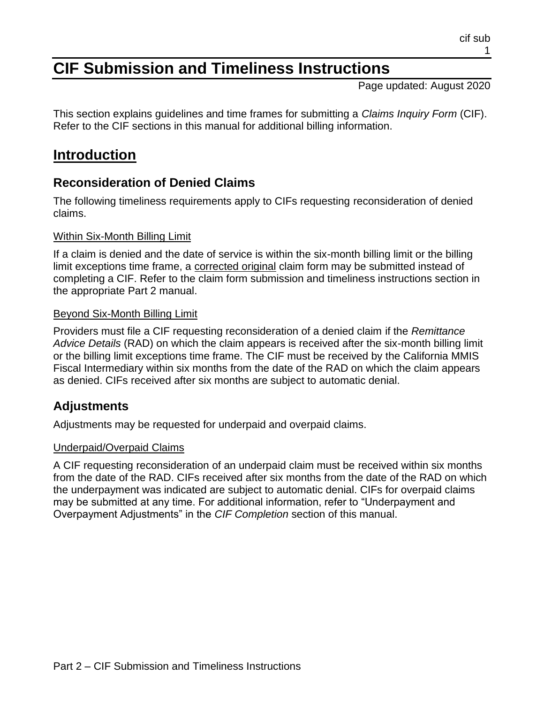# **CIF Submission and Timeliness Instructions**

Page updated: August 2020

This section explains guidelines and time frames for submitting a *Claims Inquiry Form* (CIF). Refer to the CIF sections in this manual for additional billing information.

## **Introduction**

## **Reconsideration of Denied Claims**

The following timeliness requirements apply to CIFs requesting reconsideration of denied claims.

#### Within Six-Month Billing Limit

If a claim is denied and the date of service is within the six-month billing limit or the billing limit exceptions time frame, a corrected original claim form may be submitted instead of completing a CIF. Refer to the claim form submission and timeliness instructions section in the appropriate Part 2 manual.

#### Beyond Six-Month Billing Limit

Providers must file a CIF requesting reconsideration of a denied claim if the *Remittance Advice Details* (RAD) on which the claim appears is received after the six-month billing limit or the billing limit exceptions time frame. The CIF must be received by the California MMIS Fiscal Intermediary within six months from the date of the RAD on which the claim appears as denied. CIFs received after six months are subject to automatic denial.

#### **Adjustments**

Adjustments may be requested for underpaid and overpaid claims.

#### Underpaid/Overpaid Claims

A CIF requesting reconsideration of an underpaid claim must be received within six months from the date of the RAD. CIFs received after six months from the date of the RAD on which the underpayment was indicated are subject to automatic denial. CIFs for overpaid claims may be submitted at any time. For additional information, refer to "Underpayment and Overpayment Adjustments" in the *CIF Completion* section of this manual.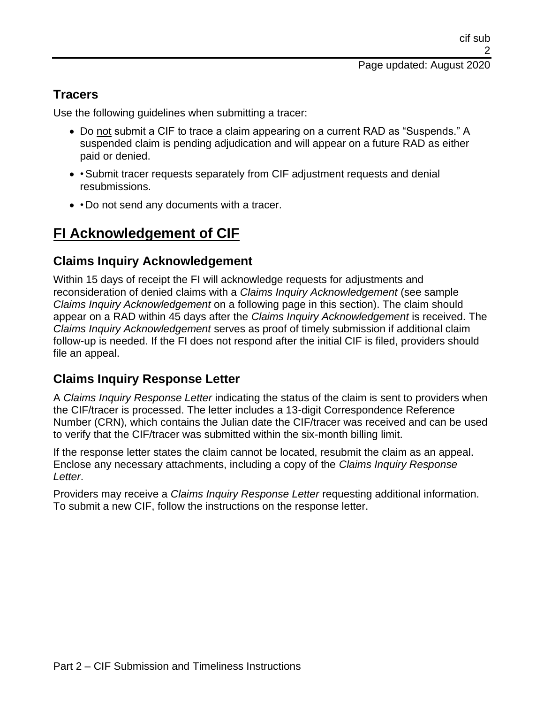### **Tracers**

Use the following guidelines when submitting a tracer:

- Do not submit a CIF to trace a claim appearing on a current RAD as "Suspends." A suspended claim is pending adjudication and will appear on a future RAD as either paid or denied.
- • Submit tracer requests separately from CIF adjustment requests and denial resubmissions.
- • Do not send any documents with a tracer.

# **FI Acknowledgement of CIF**

#### **Claims Inquiry Acknowledgement**

Within 15 days of receipt the FI will acknowledge requests for adjustments and reconsideration of denied claims with a *Claims Inquiry Acknowledgement* (see sample *Claims Inquiry Acknowledgement* on a following page in this section). The claim should appear on a RAD within 45 days after the *Claims Inquiry Acknowledgement* is received. The *Claims Inquiry Acknowledgement* serves as proof of timely submission if additional claim follow-up is needed. If the FI does not respond after the initial CIF is filed, providers should file an appeal.

#### **Claims Inquiry Response Letter**

A *Claims Inquiry Response Letter* indicating the status of the claim is sent to providers when the CIF/tracer is processed. The letter includes a 13-digit Correspondence Reference Number (CRN), which contains the Julian date the CIF/tracer was received and can be used to verify that the CIF/tracer was submitted within the six-month billing limit.

If the response letter states the claim cannot be located, resubmit the claim as an appeal. Enclose any necessary attachments, including a copy of the *Claims Inquiry Response Letter*.

Providers may receive a *Claims Inquiry Response Letter* requesting additional information. To submit a new CIF, follow the instructions on the response letter.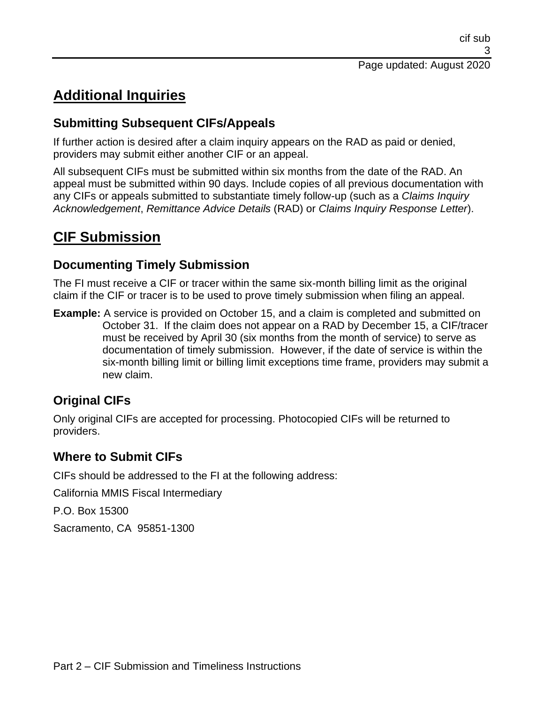# **Additional Inquiries**

## **Submitting Subsequent CIFs/Appeals**

If further action is desired after a claim inquiry appears on the RAD as paid or denied, providers may submit either another CIF or an appeal.

All subsequent CIFs must be submitted within six months from the date of the RAD. An appeal must be submitted within 90 days. Include copies of all previous documentation with any CIFs or appeals submitted to substantiate timely follow-up (such as a *Claims Inquiry Acknowledgement*, *Remittance Advice Details* (RAD) or *Claims Inquiry Response Letter*).

# **CIF Submission**

## **Documenting Timely Submission**

The FI must receive a CIF or tracer within the same six-month billing limit as the original claim if the CIF or tracer is to be used to prove timely submission when filing an appeal.

**Example:** A service is provided on October 15, and a claim is completed and submitted on October 31. If the claim does not appear on a RAD by December 15, a CIF/tracer must be received by April 30 (six months from the month of service) to serve as documentation of timely submission. However, if the date of service is within the six-month billing limit or billing limit exceptions time frame, providers may submit a new claim.

## **Original CIFs**

Only original CIFs are accepted for processing. Photocopied CIFs will be returned to providers.

## **Where to Submit CIFs**

CIFs should be addressed to the FI at the following address:

California MMIS Fiscal Intermediary

P.O. Box 15300

Sacramento, CA 95851-1300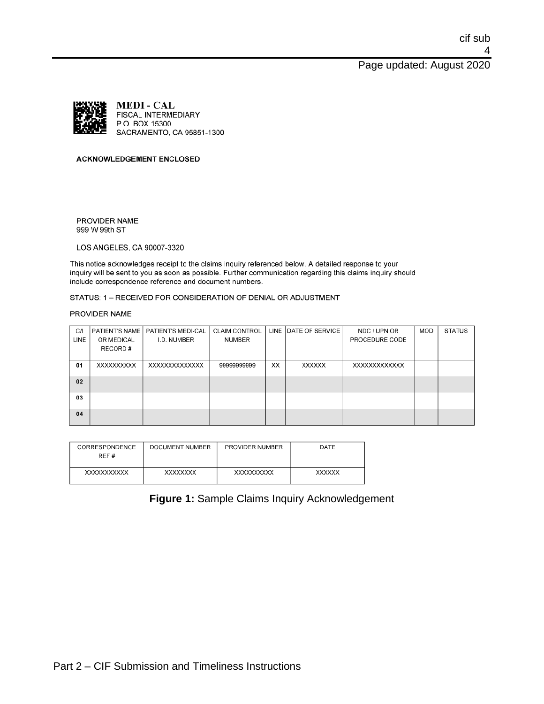Page updated: August 2020



#### **ACKNOWLEDGEMENT ENCLOSED**

PROVIDER NAME 999 W 99th ST

LOS ANGELES, CA 90007-3320

This notice acknowledges receipt to the claims inquiry referenced below. A detailed response to your inquiry will be sent to you as soon as possible. Further communication regarding this claims inquiry should include correspondence reference and document numbers.

STATUS: 1 - RECEIVED FOR CONSIDERATION OF DENIAL OR ADJUSTMENT

#### PROVIDER NAME

| C/1  |            | PATIENT'S NAME   PATIENT'S MEDI-CAL | <b>CLAIM CONTROL</b> |    | LINE DATE OF SERVICE | NDC / UPN OR   | MOD | <b>STATUS</b> |
|------|------------|-------------------------------------|----------------------|----|----------------------|----------------|-----|---------------|
| LINE | OR MEDICAL | I.D. NUMBER                         | <b>NUMBER</b>        |    |                      | PROCEDURE CODE |     |               |
|      | RECORD#    |                                     |                      |    |                      |                |     |               |
|      |            |                                     |                      |    |                      |                |     |               |
| 01   | XXXXXXXXXX | XXXXXXXXXXXXXX                      | 99999999999          | XX | <b>XXXXXXX</b>       | XXXXXXXXXXXXX  |     |               |
|      |            |                                     |                      |    |                      |                |     |               |
| 02   |            |                                     |                      |    |                      |                |     |               |
|      |            |                                     |                      |    |                      |                |     |               |
| 03   |            |                                     |                      |    |                      |                |     |               |
|      |            |                                     |                      |    |                      |                |     |               |
| 04   |            |                                     |                      |    |                      |                |     |               |
|      |            |                                     |                      |    |                      |                |     |               |

| CORRESPONDENCE<br>REF # | DOCUMENT NUMBER | PROVIDER NUMBER | DATE          |
|-------------------------|-----------------|-----------------|---------------|
| XXXXXXXXXXX             | <b>XXXXXXXX</b> | XXXXXXXXXX      | <b>XXXXXX</b> |

#### **Figure 1:** Sample Claims Inquiry Acknowledgement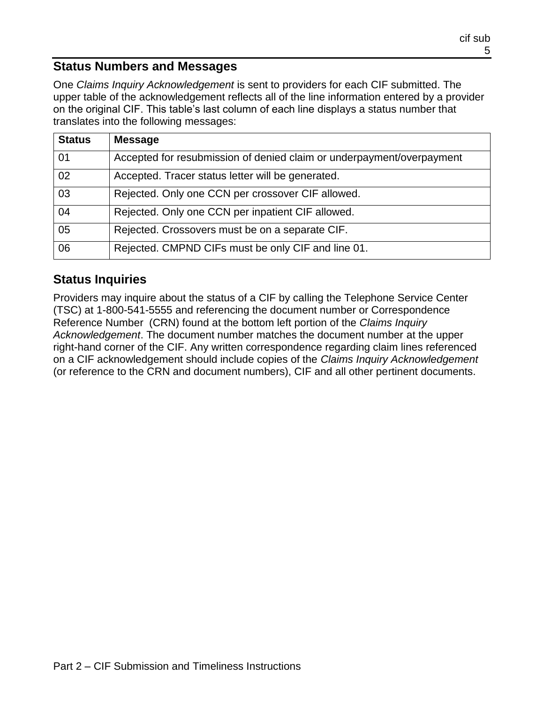#### **Status Numbers and Messages**

One *Claims Inquiry Acknowledgement* is sent to providers for each CIF submitted. The upper table of the acknowledgement reflects all of the line information entered by a provider on the original CIF. This table's last column of each line displays a status number that translates into the following messages:

| <b>Status</b> | <b>Message</b>                                                        |  |
|---------------|-----------------------------------------------------------------------|--|
| 01            | Accepted for resubmission of denied claim or underpayment/overpayment |  |
| 02            | Accepted. Tracer status letter will be generated.                     |  |
| 03            | Rejected. Only one CCN per crossover CIF allowed.                     |  |
| 04            | Rejected. Only one CCN per inpatient CIF allowed.                     |  |
| 05            | Rejected. Crossovers must be on a separate CIF.                       |  |
| 06            | Rejected. CMPND CIFs must be only CIF and line 01.                    |  |

### **Status Inquiries**

Providers may inquire about the status of a CIF by calling the Telephone Service Center (TSC) at 1-800-541-5555 and referencing the document number or Correspondence Reference Number (CRN) found at the bottom left portion of the *Claims Inquiry Acknowledgement*. The document number matches the document number at the upper right-hand corner of the CIF. Any written correspondence regarding claim lines referenced on a CIF acknowledgement should include copies of the *Claims Inquiry Acknowledgement* (or reference to the CRN and document numbers), CIF and all other pertinent documents.